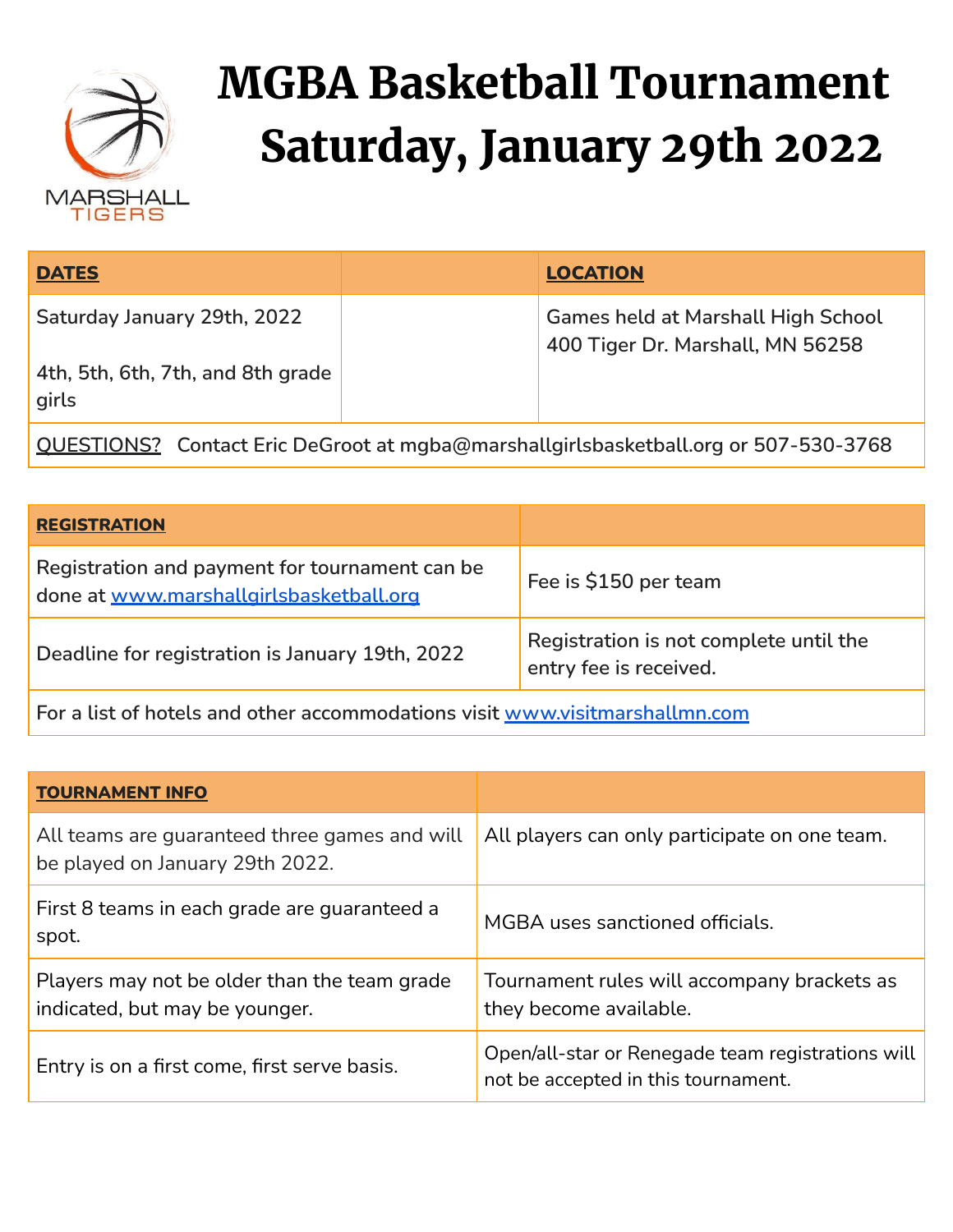

## MGBA Basketball Tournament Saturday, January 29th 2022

| <b>DATES</b>                                                              | <b>LOCATION</b>                                                                     |
|---------------------------------------------------------------------------|-------------------------------------------------------------------------------------|
| Saturday January 29th, 2022<br>4th, 5th, 6th, 7th, and 8th grade<br>girls | <b>Games held at Marshall High School</b><br>400 Tiger Dr. Marshall, MN 56258       |
|                                                                           | QUESTIONS? Contact Eric DeGroot at mgba@marshallgirlsbasketball.org or 507-530-3768 |

| <b>REGISTRATION</b>                                                                       |                                                                  |  |  |  |
|-------------------------------------------------------------------------------------------|------------------------------------------------------------------|--|--|--|
| Registration and payment for tournament can be<br>done at www.marshallgirlsbasketball.org | Fee is \$150 per team                                            |  |  |  |
| Deadline for registration is January 19th, 2022                                           | Registration is not complete until the<br>entry fee is received. |  |  |  |
|                                                                                           |                                                                  |  |  |  |

**For a list of hotels and other accommodations visit [www.visitmarshallmn.com](http://www.visitmarshallmn.com/)**

| <b>TOURNAMENT INFO</b>                                                           |                                                                                          |  |  |  |  |
|----------------------------------------------------------------------------------|------------------------------------------------------------------------------------------|--|--|--|--|
| All teams are guaranteed three games and will<br>be played on January 29th 2022. | All players can only participate on one team.                                            |  |  |  |  |
| First 8 teams in each grade are guaranteed a<br>spot.                            | MGBA uses sanctioned officials.                                                          |  |  |  |  |
| Players may not be older than the team grade<br>indicated, but may be younger.   | Tournament rules will accompany brackets as<br>they become available.                    |  |  |  |  |
| Entry is on a first come, first serve basis.                                     | Open/all-star or Renegade team registrations will<br>not be accepted in this tournament. |  |  |  |  |